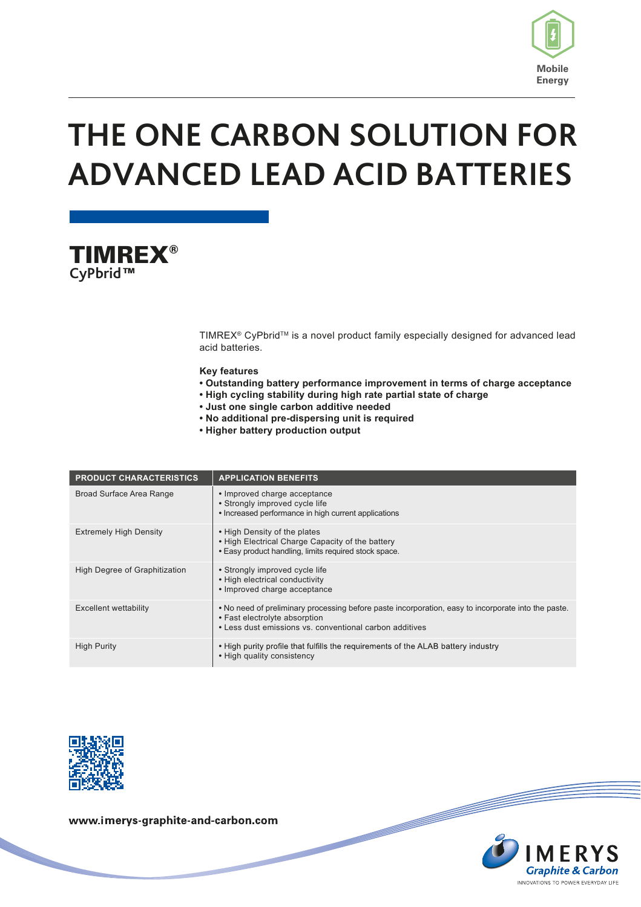

# **THE ONE CARBON SOLUTION FOR ADVANCED LEAD ACID BATTERIES**



TIMREX® CyPbrid™ is a novel product family especially designed for advanced lead acid batteries.

#### **Key features**

- **Outstanding battery performance improvement in terms of charge acceptance**
- **• High cycling stability during high rate partial state of charge**
- **• Just one single carbon additive needed**
- **• No additional pre-dispersing unit is required**
- **• Higher battery production output**

| <b>PRODUCT CHARACTERISTICS</b> | <b>APPLICATION BENEFITS</b>                                                                                                                                                                     |
|--------------------------------|-------------------------------------------------------------------------------------------------------------------------------------------------------------------------------------------------|
| Broad Surface Area Range       | • Improved charge acceptance<br>• Strongly improved cycle life<br>• Increased performance in high current applications                                                                          |
| <b>Extremely High Density</b>  | • High Density of the plates<br>• High Electrical Charge Capacity of the battery<br>. Easy product handling, limits required stock space.                                                       |
| High Degree of Graphitization  | • Strongly improved cycle life<br>• High electrical conductivity<br>• Improved charge acceptance                                                                                                |
| <b>Excellent wettability</b>   | . No need of preliminary processing before paste incorporation, easy to incorporate into the paste.<br>• Fast electrolyte absorption<br>• Less dust emissions vs. conventional carbon additives |
| <b>High Purity</b>             | • High purity profile that fulfills the requirements of the ALAB battery industry<br>• High quality consistency                                                                                 |



www.imerys-graphite-and-carbon.com